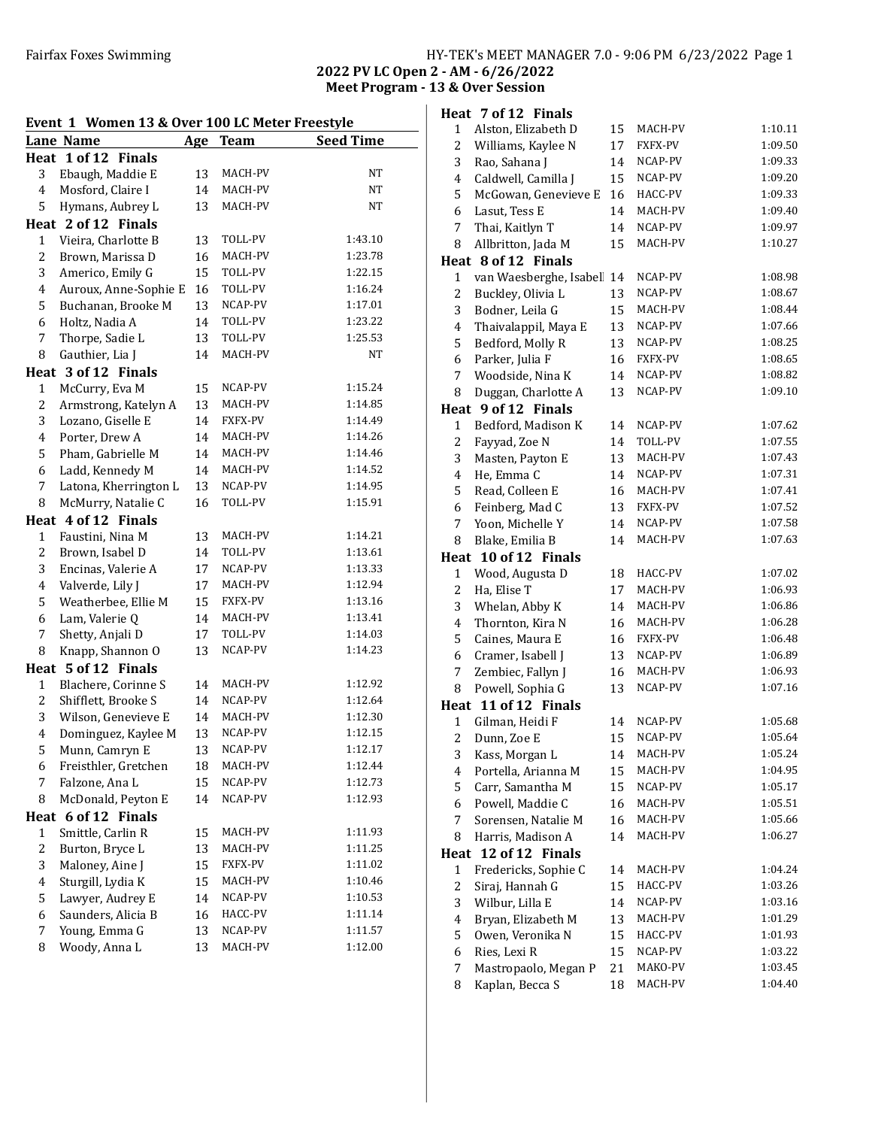#### Fairfax Foxes Swimming HY-TEK's MEET MANAGER 7.0 - 9:06 PM 6/23/2022 Page 1 2022 PV LC Open 2 - AM - 6/26/2022

Meet Program - 13 & Over Session

# Event 1 Women 13 & Over 100 LC Meter Freestyle Lane Name Age Team Seed Time Heat 1 of 12 Finals 3 Ebaugh, Maddie E 13 MACH-PV NT 4 Mosford, Claire I 14 MACH-PV NT 5 Hymans, Aubrey L 13 MACH-PV NT Heat 2 of 12 Finals 1 Vieira, Charlotte B 13 TOLL-PV 1:43.10 2 Brown, Marissa D 16 MACH-PV 1:23.78 3 Americo, Emily G 15 TOLL-PV 1:22.15 4 Auroux, Anne-Sophie E 16 TOLL-PV 1:16.24 5 Buchanan, Brooke M 13 NCAP-PV 1:17.01 6 Holtz, Nadia A 14 TOLL-PV 1:23.22 7 Thorpe, Sadie L 13 TOLL-PV 1:25.53 8 Gauthier, Lia J 14 MACH-PV NT Heat 3 of 12 Finals 1 McCurry, Eva M 15 NCAP-PV 1:15.24 2 Armstrong, Katelyn A 13 MACH-PV 1:14.85 3 Lozano, Giselle E 14 FXFX-PV 1:14.49 4 Porter, Drew A 14 MACH-PV 1:14.26 5 Pham, Gabrielle M 14 MACH-PV 1:14.46 6 Ladd, Kennedy M 14 MACH-PV 1:14.52 7 Latona, Kherrington L 13 NCAP-PV 1:14.95 8 McMurry, Natalie C 16 TOLL-PV 1:15.91 Heat 4 of 12 Finals 1 Faustini, Nina M 13 MACH-PV 1:14.21 2 Brown, Isabel D 14 TOLL-PV 1:13.61 3 Encinas, Valerie A 17 NCAP-PV 1:13.33 4 Valverde, Lily J 17 MACH-PV 1:12.94 5 Weatherbee, Ellie M 15 FXFX-PV 1:13.16 6 Lam, Valerie Q 14 MACH-PV 1:13.41 7 Shetty, Anjali D 17 TOLL-PV 1:14.03 8 Knapp, Shannon O 13 NCAP-PV 1:14.23 Heat 5 of 12 Finals 1 Blachere, Corinne S 14 MACH-PV 1:12.92 2 Shifflett, Brooke S 14 NCAP-PV 1:12.64 3 Wilson, Genevieve E 14 MACH-PV 1:12.30 4 Dominguez, Kaylee M 13 NCAP-PV 1:12.15 5 Munn, Camryn E 13 NCAP-PV 1:12.17 6 Freisthler, Gretchen 18 MACH-PV 1:12.44 7 Falzone, Ana L 15 NCAP-PV 1:12.73 8 McDonald, Peyton E 14 NCAP-PV 1:12.93 Heat 6 of 12 Finals 1 Smittle, Carlin R 15 MACH-PV 1:11.93 2 Burton, Bryce L 13 MACH-PV 1:11.25 3 Maloney, Aine J 15 FXFX-PV 1:11.02 4 Sturgill, Lydia K 15 MACH-PV 1:10.46 5 Lawyer, Audrey E 14 NCAP-PV 1:10.53

6 Saunders, Alicia B 16 HACC-PV 1:11.14 7 Young, Emma G 13 NCAP-PV 1:11.57 8 Woody, Anna L 13 MACH-PV 1:12.00

|                         | Heat 7 of 12 Finals                     |          |                    |                    |
|-------------------------|-----------------------------------------|----------|--------------------|--------------------|
| $\mathbf{1}$            | Alston, Elizabeth D                     | 15       | MACH-PV            | 1:10.11            |
| 2                       | Williams, Kaylee N                      | 17       | FXFX-PV            | 1:09.50            |
| 3                       | Rao, Sahana J                           | 14       | NCAP-PV            | 1:09.33            |
| 4                       | Caldwell, Camilla J                     | 15       | NCAP-PV            | 1:09.20            |
| 5                       | McGowan, Genevieve E                    | 16       | HACC-PV            | 1:09.33            |
| 6                       | Lasut, Tess E                           | 14       | MACH-PV            | 1:09.40            |
| 7                       | Thai, Kaitlyn T                         | 14       | NCAP-PV            | 1:09.97            |
| 8                       | Allbritton, Jada M                      | 15       | MACH-PV            | 1:10.27            |
|                         | Heat 8 of 12 Finals                     |          |                    |                    |
| $\mathbf{1}$            | van Waesberghe, Isabel                  | 14       | NCAP-PV            | 1:08.98            |
| 2                       | Buckley, Olivia L                       | 13       | NCAP-PV            | 1:08.67            |
| 3                       | Bodner, Leila G                         | 15       | MACH-PV            | 1:08.44            |
| 4                       | Thaivalappil, Maya E                    | 13       | NCAP-PV            | 1:07.66            |
| 5                       | Bedford, Molly R                        | 13       | NCAP-PV            | 1:08.25            |
| 6                       | Parker, Julia F                         | 16       | FXFX-PV            | 1:08.65            |
| 7                       | Woodside, Nina K                        | 14       | NCAP-PV            | 1:08.82            |
| 8                       | Duggan, Charlotte A                     | 13       | NCAP-PV            | 1:09.10            |
| Heat                    | 9 of 12 Finals                          |          |                    |                    |
| $\mathbf{1}$            | Bedford, Madison K                      | 14       | NCAP-PV            | 1:07.62            |
| 2                       | Fayyad, Zoe N                           | 14       | TOLL-PV            | 1:07.55            |
| 3                       | Masten, Payton E                        | 13       | MACH-PV            | 1:07.43            |
| 4                       | He, Emma C                              | 14       | NCAP-PV            | 1:07.31            |
| 5                       | Read, Colleen E                         | 16       | MACH-PV            | 1:07.41            |
| 6                       | Feinberg, Mad C                         | 13       | FXFX-PV            | 1:07.52            |
| 7                       | Yoon, Michelle Y                        | 14       | NCAP-PV            | 1:07.58            |
| 8                       | Blake, Emilia B                         | 14       | MACH-PV            | 1:07.63            |
|                         | Heat 10 of 12 Finals                    |          |                    |                    |
|                         |                                         |          |                    |                    |
|                         |                                         |          |                    |                    |
| $\mathbf{1}$            | Wood, Augusta D                         | 18       | HACC-PV            | 1:07.02            |
| 2                       | Ha, Elise T                             | 17       | MACH-PV            | 1:06.93            |
| 3                       | Whelan, Abby K                          | 14       | MACH-PV            | 1:06.86            |
| 4                       | Thornton, Kira N                        | 16       | MACH-PV            | 1:06.28            |
| 5                       | Caines, Maura E                         | 16       | FXFX-PV            | 1:06.48            |
| 6                       | Cramer, Isabell J                       | 13       | NCAP-PV            | 1:06.89            |
| 7                       | Zembiec, Fallyn J                       | 16       | MACH-PV            | 1:06.93            |
| 8                       | Powell, Sophia G                        | 13       | NCAP-PV            | 1:07.16            |
|                         | Heat 11 of 12 Finals                    |          | NCAP-PV            |                    |
| $\mathbf{1}$            | Gilman, Heidi F                         | 14       |                    | 1:05.68<br>1:05.64 |
| 2                       | Dunn, Zoe E                             | 15       | NCAP-PV            |                    |
| 3                       | Kass, Morgan L                          | 14       | MACH-PV            | 1:05.24            |
| 4                       | Portella, Arianna M                     | 15       | MACH-PV            | 1:04.95            |
| 5                       | Carr, Samantha M                        | 15       | NCAP-PV            | 1:05.17            |
| 6                       | Powell, Maddie C                        | 16       | MACH-PV            | 1:05.51            |
| 7                       | Sorensen, Natalie M                     | 16       | MACH-PV            | 1:05.66            |
| 8                       | Harris, Madison A                       | 14       | MACH-PV            | 1:06.27            |
| Heat                    | 12 of 12 Finals                         |          |                    |                    |
| $\mathbf{1}$            | Fredericks, Sophie C                    | 14       | MACH-PV            | 1:04.24            |
| $\overline{\mathbf{c}}$ | Siraj, Hannah G                         | 15       | HACC-PV            | 1:03.26            |
| 3                       | Wilbur, Lilla E                         | 14       | NCAP-PV            | 1:03.16            |
| 4                       | Bryan, Elizabeth M                      | 13       | MACH-PV            | 1:01.29            |
| 5                       | Owen, Veronika N                        | 15       | HACC-PV            | 1:01.93            |
| 6                       | Ries, Lexi R                            | 15       | NCAP-PV            | 1:03.22            |
| 7<br>8                  | Mastropaolo, Megan P<br>Kaplan, Becca S | 21<br>18 | MAKO-PV<br>MACH-PV | 1:03.45<br>1:04.40 |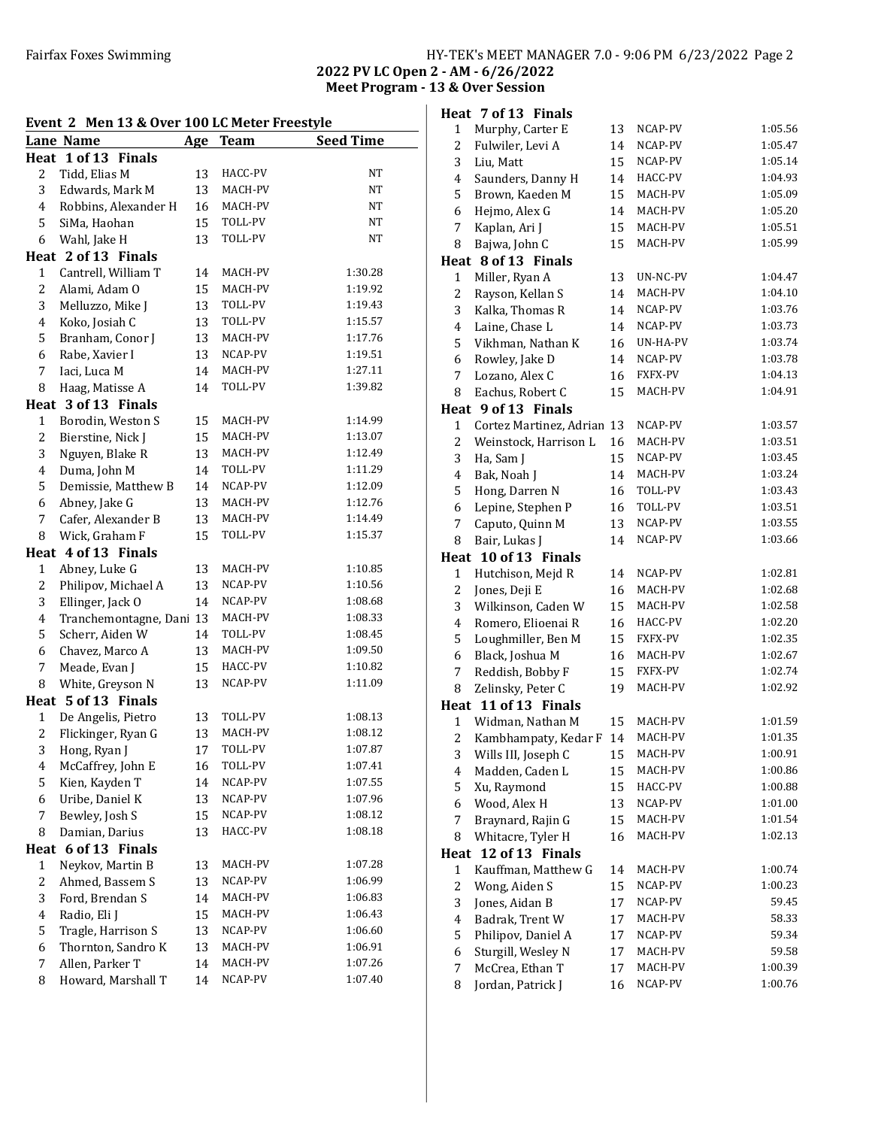# Fairfax Foxes Swimming Table 1986 and HY-TEK's MEET MANAGER 7.0 - 9:06 PM 6/23/2022 Page 2

2022 PV LC Open 2 - AM - 6/26/2022 Meet Program - 13 & Over Session

| Event 2 Men 13 & Over 100 LC Meter Freestyle |                                     |     |             |                  |  |  |
|----------------------------------------------|-------------------------------------|-----|-------------|------------------|--|--|
|                                              | <b>Lane Name</b>                    | Age | <b>Team</b> | <b>Seed Time</b> |  |  |
|                                              | Heat 1 of 13 Finals                 |     |             |                  |  |  |
| 2                                            | Tidd, Elias M                       | 13  | HACC-PV     | NT               |  |  |
| 3                                            | Edwards, Mark M                     | 13  | MACH-PV     | NT               |  |  |
| $\overline{4}$                               | Robbins, Alexander H                | 16  | MACH-PV     | NT               |  |  |
| 5                                            | SiMa, Haohan                        | 15  | TOLL-PV     | NT               |  |  |
| 6                                            | Wahl, Jake H                        | 13  | TOLL-PV     | NT               |  |  |
|                                              | Heat 2 of 13 Finals                 |     |             |                  |  |  |
| 1                                            | Cantrell, William T                 | 14  | MACH-PV     | 1:30.28          |  |  |
| 2                                            | Alami, Adam O                       | 15  | MACH-PV     | 1:19.92          |  |  |
| 3                                            | Melluzzo, Mike J                    | 13  | TOLL-PV     | 1:19.43          |  |  |
| $\overline{4}$                               | Koko, Josiah C                      | 13  | TOLL-PV     | 1:15.57          |  |  |
| 5                                            | Branham, Conor J                    | 13  | MACH-PV     | 1:17.76          |  |  |
| 6                                            | Rabe, Xavier I                      | 13  | NCAP-PV     | 1:19.51          |  |  |
| 7                                            | Iaci, Luca M                        | 14  | MACH-PV     | 1:27.11          |  |  |
| 8                                            | Haag, Matisse A                     | 14  | TOLL-PV     | 1:39.82          |  |  |
| Heat                                         | 3 of 13 Finals                      |     |             |                  |  |  |
| 1                                            | Borodin, Weston S                   | 15  | MACH-PV     | 1:14.99          |  |  |
| 2                                            | Bierstine, Nick J                   | 15  | MACH-PV     | 1:13.07          |  |  |
| 3                                            | Nguyen, Blake R                     | 13  | MACH-PV     | 1:12.49          |  |  |
| 4                                            | Duma, John M                        | 14  | TOLL-PV     | 1:11.29          |  |  |
| 5                                            | Demissie, Matthew B                 | 14  | NCAP-PV     | 1:12.09          |  |  |
| 6                                            |                                     | 13  | MACH-PV     | 1:12.76          |  |  |
| 7                                            | Abney, Jake G<br>Cafer, Alexander B | 13  | MACH-PV     | 1:14.49          |  |  |
| 8                                            | Wick, Graham F                      |     | TOLL-PV     | 1:15.37          |  |  |
|                                              |                                     | 15  |             |                  |  |  |
|                                              | Heat 4 of 13 Finals                 |     | MACH-PV     | 1:10.85          |  |  |
| $\mathbf{1}$                                 | Abney, Luke G                       | 13  | NCAP-PV     | 1:10.56          |  |  |
| 2                                            | Philipov, Michael A                 | 13  | NCAP-PV     | 1:08.68          |  |  |
| 3                                            | Ellinger, Jack O                    | 14  |             |                  |  |  |
| 4                                            | Tranchemontagne, Dani 13            |     | MACH-PV     | 1:08.33          |  |  |
| 5                                            | Scherr, Aiden W                     | 14  | TOLL-PV     | 1:08.45          |  |  |
| 6                                            | Chavez, Marco A                     | 13  | MACH-PV     | 1:09.50          |  |  |
| 7                                            | Meade, Evan J                       | 15  | HACC-PV     | 1:10.82          |  |  |
| 8                                            | White, Greyson N                    | 13  | NCAP-PV     | 1:11.09          |  |  |
|                                              | Heat 5 of 13 Finals                 |     |             |                  |  |  |
| 1                                            | De Angelis, Pietro                  | 13  | TOLL-PV     | 1:08.13          |  |  |
| $\overline{2}$                               | Flickinger, Ryan G                  | 13  | MACH-PV     | 1:08.12          |  |  |
| 3                                            | Hong, Ryan J                        | 17  | TOLL-PV     | 1:07.87          |  |  |
| $\overline{4}$                               | McCaffrey, John E                   | 16  | TOLL-PV     | 1:07.41          |  |  |
| 5                                            | Kien, Kayden T                      | 14  | NCAP-PV     | 1:07.55          |  |  |
| 6                                            | Uribe, Daniel K                     | 13  | NCAP-PV     | 1:07.96          |  |  |
| 7                                            | Bewley, Josh S                      | 15  | NCAP-PV     | 1:08.12          |  |  |
| 8                                            | Damian, Darius                      | 13  | HACC-PV     | 1:08.18          |  |  |
| Heat                                         | 6 of 13 Finals                      |     |             |                  |  |  |
| 1                                            | Neykov, Martin B                    | 13  | MACH-PV     | 1:07.28          |  |  |
| 2                                            | Ahmed, Bassem S                     | 13  | NCAP-PV     | 1:06.99          |  |  |
| 3                                            | Ford, Brendan S                     | 14  | MACH-PV     | 1:06.83          |  |  |
| 4                                            | Radio, Eli J                        | 15  | MACH-PV     | 1:06.43          |  |  |
| 5                                            | Tragle, Harrison S                  | 13  | NCAP-PV     | 1:06.60          |  |  |
| 6                                            | Thornton, Sandro K                  | 13  | MACH-PV     | 1:06.91          |  |  |
| 7                                            | Allen, Parker T                     | 14  | MACH-PV     | 1:07.26          |  |  |
| 8                                            | Howard, Marshall T                  | 14  | NCAP-PV     | 1:07.40          |  |  |

|                         | Heat 7 of 13 Finals                      |          |                    |                |
|-------------------------|------------------------------------------|----------|--------------------|----------------|
| 1                       | Murphy, Carter E                         | 13       | NCAP-PV            | 1:05.56        |
| 2                       | Fulwiler, Levi A                         | 14       | NCAP-PV            | 1:05.47        |
| 3                       | Liu, Matt                                | 15       | NCAP-PV            | 1:05.14        |
| 4                       | Saunders, Danny H                        | 14       | HACC-PV            | 1:04.93        |
| 5                       | Brown, Kaeden M                          | 15       | MACH-PV            | 1:05.09        |
| 6                       | Hejmo, Alex G                            | 14       | MACH-PV            | 1:05.20        |
| 7                       | Kaplan, Ari J                            | 15       | MACH-PV            | 1:05.51        |
| 8                       | Bajwa, John C                            | 15       | MACH-PV            | 1:05.99        |
|                         | Heat 8 of 13 Finals                      |          |                    |                |
| 1                       | Miller, Ryan A                           | 13       | UN-NC-PV           | 1:04.47        |
| 2                       | Rayson, Kellan S                         | 14       | MACH-PV            | 1:04.10        |
| 3                       | Kalka, Thomas R                          | 14       | NCAP-PV            | 1:03.76        |
| 4                       | Laine, Chase L                           | 14       | NCAP-PV            | 1:03.73        |
| 5                       | Vikhman, Nathan K                        | 16       | UN-HA-PV           | 1:03.74        |
| 6                       | Rowley, Jake D                           | 14       | NCAP-PV            | 1:03.78        |
| 7                       | Lozano, Alex C                           | 16       | FXFX-PV            | 1:04.13        |
| 8                       | Eachus, Robert C                         | 15       | MACH-PV            | 1:04.91        |
|                         | Heat 9 of 13 Finals                      |          |                    |                |
| 1                       | Cortez Martinez, Adrian                  | 13       | NCAP-PV            | 1:03.57        |
| 2                       | Weinstock, Harrison L                    | 16       | MACH-PV            | 1:03.51        |
| 3                       | Ha, Sam J                                | 15       | NCAP-PV            | 1:03.45        |
| 4                       | Bak, Noah J                              | 14       | MACH-PV            | 1:03.24        |
| 5                       | Hong, Darren N                           | 16       | TOLL-PV            | 1:03.43        |
| 6                       | Lepine, Stephen P                        | 16       | TOLL-PV            | 1:03.51        |
| 7                       | Caputo, Quinn M                          | 13       | NCAP-PV            | 1:03.55        |
| 8                       | Bair, Lukas J                            | 14       | NCAP-PV            | 1:03.66        |
| Heat                    | 10 of 13 Finals                          |          |                    |                |
| 1                       | Hutchison, Mejd R                        | 14       | NCAP-PV            | 1:02.81        |
| 2                       | Jones, Deji E                            | 16       | MACH-PV            | 1:02.68        |
| 3                       | Wilkinson, Caden W                       | 15       | MACH-PV            | 1:02.58        |
| 4                       | Romero, Elioenai R                       | 16       | HACC-PV            | 1:02.20        |
| 5                       | Loughmiller, Ben M                       | 15       | FXFX-PV            | 1:02.35        |
| 6                       | Black, Joshua M                          | 16       | MACH-PV            | 1:02.67        |
| 7                       | Reddish, Bobby F                         | 15       | <b>FXFX-PV</b>     | 1:02.74        |
| 8                       | Zelinsky, Peter C                        | 19       | MACH-PV            | 1:02.92        |
| $\mathbf{1}$            | Heat 11 of 13 Finals<br>Widman, Nathan M | 15       | MACH-PV            | 1:01.59        |
| $\overline{a}$          | Kambhampaty, Kedar F 14                  |          | MACH-PV            | 1:01.35        |
| 3                       | Wills III, Joseph C                      | 15       | MACH-PV            | 1:00.91        |
| 4                       | Madden, Caden L                          | 15       | MACH-PV            | 1:00.86        |
| 5                       | Xu, Raymond                              | 15       | HACC-PV            | 1:00.88        |
| 6                       | Wood, Alex H                             | 13       | NCAP-PV            | 1:01.00        |
| 7                       |                                          |          |                    |                |
| 8                       |                                          |          |                    |                |
|                         | Braynard, Rajin G                        | 15       | MACH-PV            | 1:01.54        |
|                         | Whitacre, Tyler H                        | 16       | MACH-PV            | 1:02.13        |
| Heat                    | 12 of 13 Finals                          |          |                    |                |
| 1                       | Kauffman, Matthew G                      | 14       | MACH-PV            | 1:00.74        |
| $\overline{\mathbf{c}}$ | Wong, Aiden S                            | 15       | NCAP-PV<br>NCAP-PV | 1:00.23        |
| 3<br>4                  | Jones, Aidan B                           | 17<br>17 | MACH-PV            | 59.45          |
|                         | Badrak, Trent W                          |          | NCAP-PV            | 58.33<br>59.34 |
| 5                       | Philipov, Daniel A                       | 17<br>17 | MACH-PV            | 59.58          |
| 6<br>7                  | Sturgill, Wesley N                       | 17       | MACH-PV            | 1:00.39        |
| 8                       | McCrea, Ethan T<br>Jordan, Patrick J     | 16       | NCAP-PV            | 1:00.76        |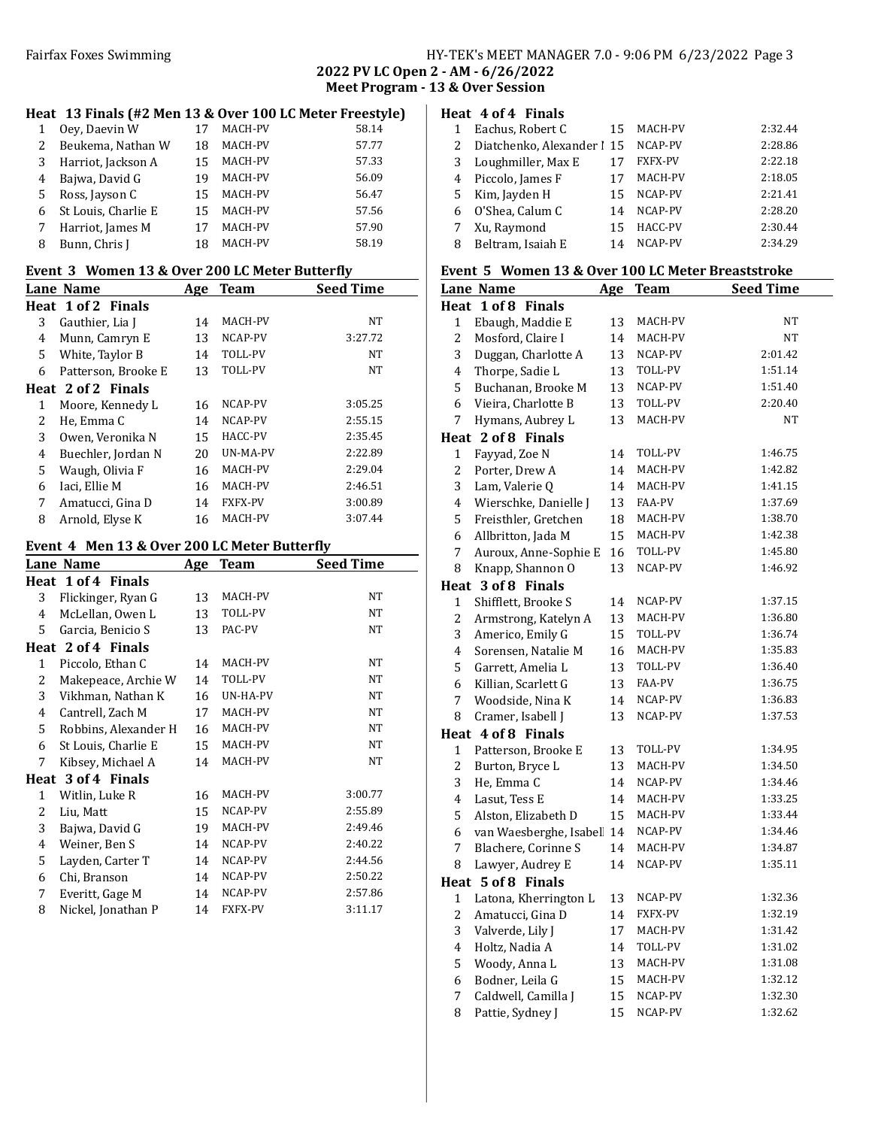# Fairfax Foxes Swimming Tairfax Foxes Swimming Tairfax Foxes Swimming Fairfax Foxes Swimming

2022 PV LC Open 2 - AM - 6/26/2022 Meet Program - 13 & Over Session

### Heat 13 Finals (#2 Men 13 & Over 100 LC Meter Freestyle)

|   | Oey, Daevin W       | 17 | <b>MACH-PV</b> | 58.14 |
|---|---------------------|----|----------------|-------|
| 2 | Beukema, Nathan W   | 18 | MACH-PV        | 57.77 |
| 3 | Harriot, Jackson A  | 15 | <b>MACH-PV</b> | 57.33 |
| 4 | Bajwa, David G      | 19 | MACH-PV        | 56.09 |
| 5 | Ross, Jayson C      | 15 | MACH-PV        | 56.47 |
| 6 | St Louis, Charlie E | 15 | MACH-PV        | 57.56 |
|   | Harriot, James M    | 17 | <b>MACH-PV</b> | 57.90 |
| 8 | Bunn, Chris I       | 18 | MACH-PV        | 58.19 |

#### Event 3 Women 13 & Over 200 LC Meter Butterfly

| LVCIIt 9 - WONICH 19 & OVCI-200 LC MCWI DUUCI NV |                     |     |                |                  |  |  |
|--------------------------------------------------|---------------------|-----|----------------|------------------|--|--|
|                                                  | Lane Name           | Age | <b>Team</b>    | <b>Seed Time</b> |  |  |
|                                                  | Heat 1 of 2 Finals  |     |                |                  |  |  |
| 3                                                | Gauthier, Lia J     | 14  | MACH-PV        | NT               |  |  |
| 4                                                | Munn, Camryn E      | 13  | NCAP-PV        | 3:27.72          |  |  |
| 5.                                               | White, Taylor B     | 14  | TOLL-PV        | NT               |  |  |
| 6                                                | Patterson, Brooke E | 13  | <b>TOLL-PV</b> | NT               |  |  |
|                                                  | Heat 2 of 2 Finals  |     |                |                  |  |  |
| 1                                                | Moore, Kennedy L    | 16  | NCAP-PV        | 3:05.25          |  |  |
| 2                                                | He, Emma C          | 14  | NCAP-PV        | 2:55.15          |  |  |
| 3                                                | Owen, Veronika N    | 15  | HACC-PV        | 2:35.45          |  |  |
| 4                                                | Buechler, Jordan N  | 20  | UN-MA-PV       | 2:22.89          |  |  |
| 5.                                               | Waugh, Olivia F     | 16  | MACH-PV        | 2:29.04          |  |  |
| 6                                                | Iaci, Ellie M       | 16  | MACH-PV        | 2:46.51          |  |  |
| 7                                                | Amatucci, Gina D    | 14  | <b>FXFX-PV</b> | 3:00.89          |  |  |
| 8                                                | Arnold, Elyse K     | 16  | MACH-PV        | 3:07.44          |  |  |

#### Event 4 Men 13 & Over 200 LC Meter Butterfly

|              | Lane Name            | Age | <b>Team</b> | <b>Seed Time</b> |
|--------------|----------------------|-----|-------------|------------------|
|              | Heat 1 of 4 Finals   |     |             |                  |
| 3            | Flickinger, Ryan G   | 13  | MACH-PV     | NT               |
| 4            | McLellan, Owen L     | 13  | TOLL-PV     | NT               |
| 5            | Garcia, Benicio S    | 13  | PAC-PV      | NT               |
|              | Heat 2 of 4 Finals   |     |             |                  |
| 1            | Piccolo, Ethan C     | 14  | MACH-PV     | NT               |
| 2            | Makepeace, Archie W  | 14  | TOLL-PV     | NT               |
| 3            | Vikhman, Nathan K    | 16  | UN-HA-PV    | NT               |
| 4            | Cantrell, Zach M     | 17  | MACH-PV     | NT               |
| 5            | Robbins, Alexander H | 16  | MACH-PV     | NT               |
| 6            | St Louis, Charlie E  | 15  | MACH-PV     | NT               |
| 7            | Kibsey, Michael A    | 14  | MACH-PV     | NT               |
|              | Heat 3 of 4 Finals   |     |             |                  |
| $\mathbf{1}$ | Witlin, Luke R       | 16  | MACH-PV     | 3:00.77          |
| 2            | Liu, Matt            | 15  | NCAP-PV     | 2:55.89          |
| 3            | Bajwa, David G       | 19  | MACH-PV     | 2:49.46          |
| 4            | Weiner, Ben S        | 14  | NCAP-PV     | 2:40.22          |
| 5            | Layden, Carter T     | 14  | NCAP-PV     | 2:44.56          |
| 6            | Chi, Branson         | 14  | NCAP-PV     | 2:50.22          |
| 7            | Everitt, Gage M      | 14  | NCAP-PV     | 2:57.86          |
| 8            | Nickel, Jonathan P   | 14  | FXFX-PV     | 3:11.17          |

# Heat 4 of 4 Finals Eachus, Robert C 15 MACH-PV 2:32.44 2 Diatchenko, Alexander | 15 NCAP-PV 2:28.86

|                   | 17                                                                                                  | <b>FXFX-PV</b> | 2:22.18 |
|-------------------|-----------------------------------------------------------------------------------------------------|----------------|---------|
|                   |                                                                                                     | MACH-PV        | 2:18.05 |
|                   | 15                                                                                                  | NCAP-PV        | 2:21.41 |
|                   | 14                                                                                                  | NCAP-PV        | 2:28.20 |
|                   | 15                                                                                                  | HACC-PV        | 2:30.44 |
| Beltram, Isaiah E | 14                                                                                                  | NCAP-PV        | 2:34.29 |
|                   | 3 Loughmiller, Max E<br>4 Piccolo, James F<br>5 Kim, Jayden H<br>6 O'Shea, Calum C<br>7 Xu, Raymond |                |         |

## Event 5 Women 13 & Over 100 LC Meter Breaststroke

|                | <b>Lane Name</b>       | <u>Age</u> | <b>Team</b> | <b>Seed Time</b> |
|----------------|------------------------|------------|-------------|------------------|
|                | Heat 1 of 8 Finals     |            |             |                  |
| 1              | Ebaugh, Maddie E       | 13         | MACH-PV     | NT               |
| 2              | Mosford, Claire I      | 14         | MACH-PV     | NT               |
| 3              | Duggan, Charlotte A    | 13         | NCAP-PV     | 2:01.42          |
| 4              | Thorpe, Sadie L        | 13         | TOLL-PV     | 1:51.14          |
| 5              | Buchanan, Brooke M     | 13         | NCAP-PV     | 1:51.40          |
| 6              | Vieira, Charlotte B    | 13         | TOLL-PV     | 2:20.40          |
| 7              | Hymans, Aubrey L       | 13         | MACH-PV     | NT               |
|                | Heat 2 of 8 Finals     |            |             |                  |
| $\mathbf 1$    | Fayyad, Zoe N          | 14         | TOLL-PV     | 1:46.75          |
| 2              | Porter, Drew A         | 14         | MACH-PV     | 1:42.82          |
| 3              | Lam, Valerie Q         | 14         | MACH-PV     | 1:41.15          |
| 4              | Wierschke, Danielle J  | 13         | FAA-PV      | 1:37.69          |
| 5              | Freisthler, Gretchen   | 18         | MACH-PV     | 1:38.70          |
| 6              | Allbritton, Jada M     | 15         | MACH-PV     | 1:42.38          |
| 7              | Auroux, Anne-Sophie E  | 16         | TOLL-PV     | 1:45.80          |
| 8              | Knapp, Shannon O       | 13         | NCAP-PV     | 1:46.92          |
|                | Heat 3 of 8 Finals     |            |             |                  |
| 1              | Shifflett, Brooke S    | 14         | NCAP-PV     | 1:37.15          |
| 2              | Armstrong, Katelyn A   | 13         | MACH-PV     | 1:36.80          |
| 3              | Americo, Emily G       | 15         | TOLL-PV     | 1:36.74          |
| 4              | Sorensen, Natalie M    | 16         | MACH-PV     | 1:35.83          |
| 5              | Garrett, Amelia L      | 13         | TOLL-PV     | 1:36.40          |
| 6              | Killian, Scarlett G    | 13         | FAA-PV      | 1:36.75          |
| 7              | Woodside, Nina K       | 14         | NCAP-PV     | 1:36.83          |
| 8              | Cramer, Isabell J      | 13         | NCAP-PV     | 1:37.53          |
|                | Heat 4 of 8 Finals     |            |             |                  |
| $\mathbf 1$    | Patterson, Brooke E    | 13         | TOLL-PV     | 1:34.95          |
| 2              | Burton, Bryce L        | 13         | MACH-PV     | 1:34.50          |
| 3              | He, Emma C             | 14         | NCAP-PV     | 1:34.46          |
| 4              | Lasut, Tess E          | 14         | MACH-PV     | 1:33.25          |
| 5              | Alston, Elizabeth D    | 15         | MACH-PV     | 1:33.44          |
| 6              | van Waesberghe, Isabel | 14         | NCAP-PV     | 1:34.46          |
| 7              | Blachere, Corinne S    | 14         | MACH-PV     | 1:34.87          |
| 8              | Lawyer, Audrey E       | 14         | NCAP-PV     | 1:35.11          |
|                | Heat 5 of 8 Finals     |            |             |                  |
| $\mathbf 1$    | Latona, Kherrington L  | 13         | NCAP-PV     | 1:32.36          |
| 2              | Amatucci, Gina D       | 14         | FXFX-PV     | 1:32.19          |
| 3              | Valverde, Lily J       | 17         | MACH-PV     | 1:31.42          |
| $\overline{4}$ | Holtz, Nadia A         | 14         | TOLL-PV     | 1:31.02          |
| 5              | Woody, Anna L          | 13         | MACH-PV     | 1:31.08          |
| 6              | Bodner, Leila G        | 15         | MACH-PV     | 1:32.12          |
| 7              | Caldwell, Camilla J    | 15         | NCAP-PV     | 1:32.30          |
| 8              | Pattie, Sydney J       | 15         | NCAP-PV     | 1:32.62          |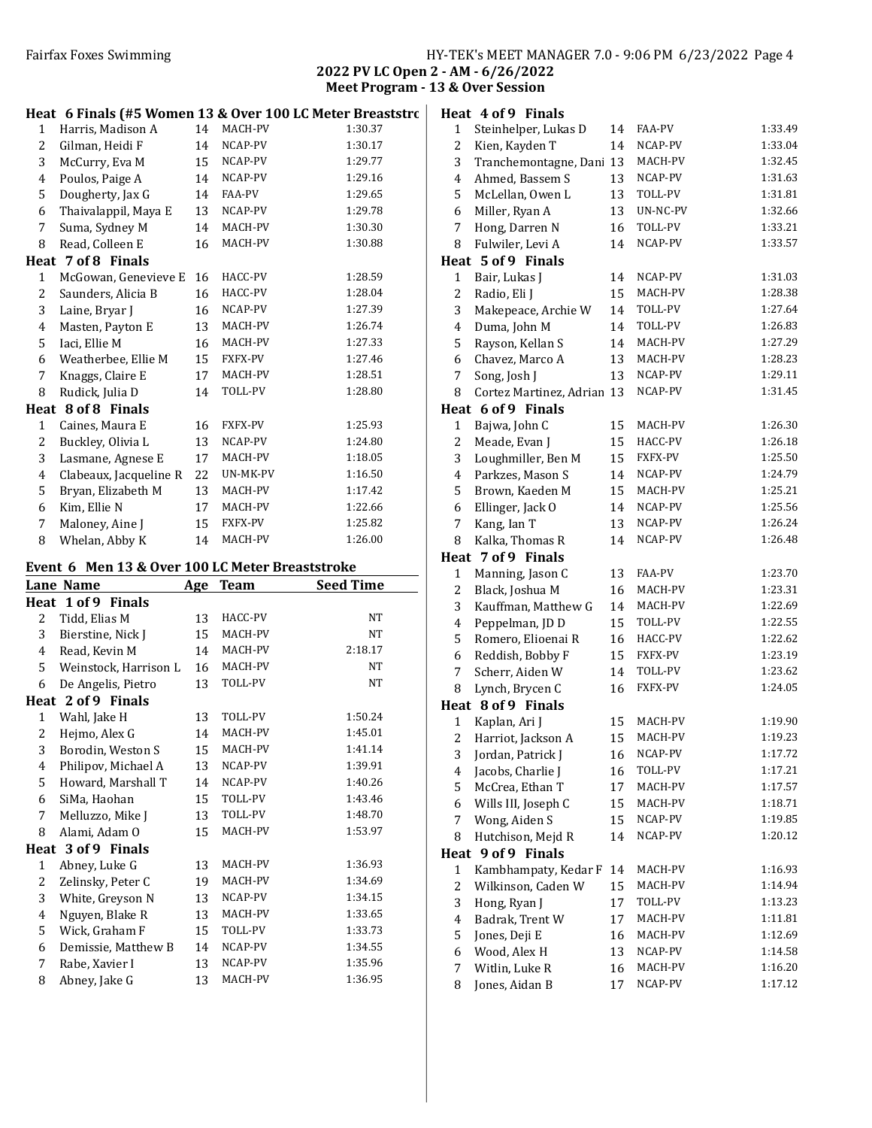| HY-TEK's MEET MANAGER 7.0 - 9:06 PM 6/23/2022 Page 4 |  |  |  |
|------------------------------------------------------|--|--|--|
|------------------------------------------------------|--|--|--|

2022 PV LC Open 2 - AM - 6/26/2022 Meet Program - 13 & Over Session

|                | Heat 6 Finals (#5 Women 13 & Over 100 LC Meter Breaststro |    |                |         | I |
|----------------|-----------------------------------------------------------|----|----------------|---------|---|
| $\mathbf{1}$   | Harris, Madison A                                         | 14 | MACH-PV        | 1:30.37 |   |
| $\overline{2}$ | Gilman, Heidi F                                           | 14 | NCAP-PV        | 1:30.17 |   |
| 3              | McCurry, Eva M                                            | 15 | NCAP-PV        | 1:29.77 |   |
| 4              | Poulos, Paige A                                           | 14 | NCAP-PV        | 1:29.16 |   |
| 5              | Dougherty, Jax G                                          | 14 | FAA-PV         | 1:29.65 |   |
| 6              | Thaivalappil, Maya E                                      | 13 | NCAP-PV        | 1:29.78 |   |
| 7              | Suma, Sydney M                                            | 14 | MACH-PV        | 1:30.30 |   |
| 8              | Read, Colleen E                                           | 16 | MACH-PV        | 1:30.88 |   |
|                | Heat 7 of 8 Finals                                        |    |                |         | I |
| $\mathbf{1}$   | McGowan, Genevieve E                                      | 16 | HACC-PV        | 1:28.59 |   |
| 2              | Saunders, Alicia B                                        | 16 | HACC-PV        | 1:28.04 |   |
| 3              | Laine, Bryar J                                            | 16 | NCAP-PV        | 1:27.39 |   |
| 4              | Masten, Payton E                                          | 13 | MACH-PV        | 1:26.74 |   |
| 5              | Iaci, Ellie M                                             | 16 | MACH-PV        | 1:27.33 |   |
| 6              | Weatherbee, Ellie M                                       | 15 | FXFX-PV        | 1:27.46 |   |
| 7              | Knaggs, Claire E                                          | 17 | MACH-PV        | 1:28.51 |   |
| 8              | Rudick, Julia D                                           | 14 | TOLL-PV        | 1:28.80 |   |
|                | Heat 8 of 8 Finals                                        |    |                |         | I |
| $\mathbf{1}$   | Caines, Maura E                                           | 16 | <b>FXFX-PV</b> | 1:25.93 |   |
| 2              | Buckley, Olivia L                                         | 13 | NCAP-PV        | 1:24.80 |   |
| 3              | Lasmane, Agnese E                                         | 17 | MACH-PV        | 1:18.05 |   |
| 4              | Clabeaux, Jacqueline R                                    | 22 | UN-MK-PV       | 1:16.50 |   |
| 5              | Bryan, Elizabeth M                                        | 13 | MACH-PV        | 1:17.42 |   |
| 6              | Kim, Ellie N                                              | 17 | MACH-PV        | 1:22.66 |   |
| 7              | Maloney, Aine J                                           | 15 | <b>FXFX-PV</b> | 1:25.82 |   |
| 8              | Whelan, Abby K                                            | 14 | MACH-PV        | 1:26.00 |   |

# Event 6 Men 13 & Over 100 LC Meter Breaststroke

|              | Lane Name             | <u>Age</u> | <b>Team</b> | Seed Time |
|--------------|-----------------------|------------|-------------|-----------|
|              | Heat 1 of 9 Finals    |            |             |           |
| 2            | Tidd, Elias M         | 13         | HACC-PV     | <b>NT</b> |
| 3            | Bierstine, Nick J     | 15         | MACH-PV     | NT        |
| 4            | Read, Kevin M         | 14         | MACH-PV     | 2:18.17   |
| 5            | Weinstock, Harrison L | 16         | MACH-PV     | NT        |
| 6            | De Angelis, Pietro    | 13         | TOLL-PV     | <b>NT</b> |
| Heat         | 2 of 9 Finals         |            |             |           |
| $\mathbf{1}$ | Wahl, Jake H          | 13         | TOLL-PV     | 1:50.24   |
| 2            | Hejmo, Alex G         | 14         | MACH-PV     | 1:45.01   |
| 3            | Borodin, Weston S     | 15         | MACH-PV     | 1:41.14   |
| 4            | Philipov, Michael A   | 13         | NCAP-PV     | 1:39.91   |
| 5            | Howard, Marshall T    | 14         | NCAP-PV     | 1:40.26   |
| 6            | SiMa, Haohan          | 15         | TOLL-PV     | 1:43.46   |
| 7            | Melluzzo, Mike J      | 13         | TOLL-PV     | 1:48.70   |
| 8            | Alami, Adam O         | 15         | MACH-PV     | 1:53.97   |
| Heat         | 3 of 9 Finals         |            |             |           |
| 1            | Abney, Luke G         | 13         | MACH-PV     | 1:36.93   |
| 2            | Zelinsky, Peter C     | 19         | MACH-PV     | 1:34.69   |
| 3            | White, Greyson N      | 13         | NCAP-PV     | 1:34.15   |
| 4            | Nguyen, Blake R       | 13         | MACH-PV     | 1:33.65   |
| 5            | Wick, Graham F        | 15         | TOLL-PV     | 1:33.73   |
| 6            | Demissie, Matthew B   | 14         | NCAP-PV     | 1:34.55   |
| 7            | Rabe, Xavier I        | 13         | NCAP-PV     | 1:35.96   |
| 8            | Abney, Jake G         | 13         | MACH-PV     | 1:36.95   |

|                         | Heat 4 of 9 Finals         |    |                |         |
|-------------------------|----------------------------|----|----------------|---------|
| 1                       | Steinhelper, Lukas D       | 14 | FAA-PV         | 1:33.49 |
| 2                       | Kien, Kayden T             | 14 | NCAP-PV        | 1:33.04 |
| 3                       | Tranchemontagne, Dani      | 13 | MACH-PV        | 1:32.45 |
| $\overline{4}$          | Ahmed, Bassem S            | 13 | NCAP-PV        | 1:31.63 |
| 5                       | McLellan, Owen L           | 13 | TOLL-PV        | 1:31.81 |
| 6                       | Miller, Ryan A             | 13 | UN-NC-PV       | 1:32.66 |
| 7                       | Hong, Darren N             | 16 | TOLL-PV        | 1:33.21 |
| 8                       | Fulwiler, Levi A           | 14 | NCAP-PV        | 1:33.57 |
| Heat                    | 5 of 9 Finals              |    |                |         |
| $\mathbf{1}$            | Bair, Lukas J              | 14 | NCAP-PV        | 1:31.03 |
| $\overline{c}$          | Radio, Eli J               | 15 | MACH-PV        | 1:28.38 |
| 3                       | Makepeace, Archie W        | 14 | TOLL-PV        | 1:27.64 |
| 4                       | Duma, John M               | 14 | TOLL-PV        | 1:26.83 |
| 5                       | Rayson, Kellan S           | 14 | MACH-PV        | 1:27.29 |
| 6                       | Chavez, Marco A            | 13 | MACH-PV        | 1:28.23 |
| 7                       | Song, Josh J               | 13 | NCAP-PV        | 1:29.11 |
| 8                       | Cortez Martinez, Adrian 13 |    | NCAP-PV        | 1:31.45 |
|                         | Heat 6 of 9 Finals         |    |                |         |
| 1                       | Bajwa, John C              | 15 | MACH-PV        | 1:26.30 |
| $\overline{\mathbf{c}}$ | Meade, Evan J              | 15 | HACC-PV        | 1:26.18 |
| 3                       | Loughmiller, Ben M         | 15 | <b>FXFX-PV</b> | 1:25.50 |
| $\overline{4}$          | Parkzes, Mason S           | 14 | NCAP-PV        | 1:24.79 |
| 5                       | Brown, Kaeden M            | 15 | MACH-PV        | 1:25.21 |
| 6                       | Ellinger, Jack O           | 14 | NCAP-PV        | 1:25.56 |
| 7                       | Kang, Ian T                | 13 | NCAP-PV        | 1:26.24 |
| 8                       | Kalka, Thomas R            | 14 | NCAP-PV        | 1:26.48 |
|                         | Heat 7 of 9 Finals         |    |                |         |
| $\mathbf{1}$            | Manning, Jason C           | 13 | FAA-PV         | 1:23.70 |
| 2                       | Black, Joshua M            | 16 | MACH-PV        | 1:23.31 |
| 3                       | Kauffman, Matthew G        | 14 | MACH-PV        | 1:22.69 |
| $\overline{4}$          | Peppelman, JD D            | 15 | TOLL-PV        | 1:22.55 |
| 5                       | Romero, Elioenai R         | 16 | HACC-PV        | 1:22.62 |
| 6                       | Reddish, Bobby F           | 15 | FXFX-PV        | 1:23.19 |
| 7                       | Scherr, Aiden W            | 14 | TOLL-PV        | 1:23.62 |
| 8                       | Lynch, Brycen C            | 16 | FXFX-PV        | 1:24.05 |
|                         | Heat 8 of 9 Finals         |    |                |         |
| $\mathbf{1}$            | Kaplan, Ari J              | 15 | MACH-PV        | 1:19.90 |
| $\overline{c}$          | Harriot, Jackson A         | 15 | MACH-PV        | 1:19.23 |
| 3                       | Jordan, Patrick J          | 16 | NCAP-PV        | 1:17.72 |
| $\overline{4}$          | Jacobs, Charlie J          | 16 | TOLL-PV        | 1:17.21 |
| 5                       | McCrea, Ethan T            | 17 | MACH-PV        | 1:17.57 |
| 6                       | Wills III, Joseph C        | 15 | MACH-PV        | 1:18.71 |
| 7                       | Wong, Aiden S              | 15 | NCAP-PV        | 1:19.85 |
| 8                       | Hutchison, Mejd R          | 14 | NCAP-PV        | 1:20.12 |
| Heat                    | 9 of 9 Finals              |    |                |         |
| 1                       | Kambhampaty, Kedar F       | 14 | MACH-PV        | 1:16.93 |
| $\overline{\mathbf{c}}$ | Wilkinson, Caden W         | 15 | MACH-PV        | 1:14.94 |
| 3                       | Hong, Ryan J               | 17 | TOLL-PV        | 1:13.23 |
| $\overline{4}$          | Badrak, Trent W            | 17 | MACH-PV        | 1:11.81 |
| 5                       | Jones, Deji E              | 16 | MACH-PV        | 1:12.69 |
| 6                       | Wood, Alex H               | 13 | NCAP-PV        | 1:14.58 |
| 7                       | Witlin, Luke R             | 16 | MACH-PV        | 1:16.20 |
| 8                       | Jones, Aidan B             | 17 | NCAP-PV        | 1:17.12 |
|                         |                            |    |                |         |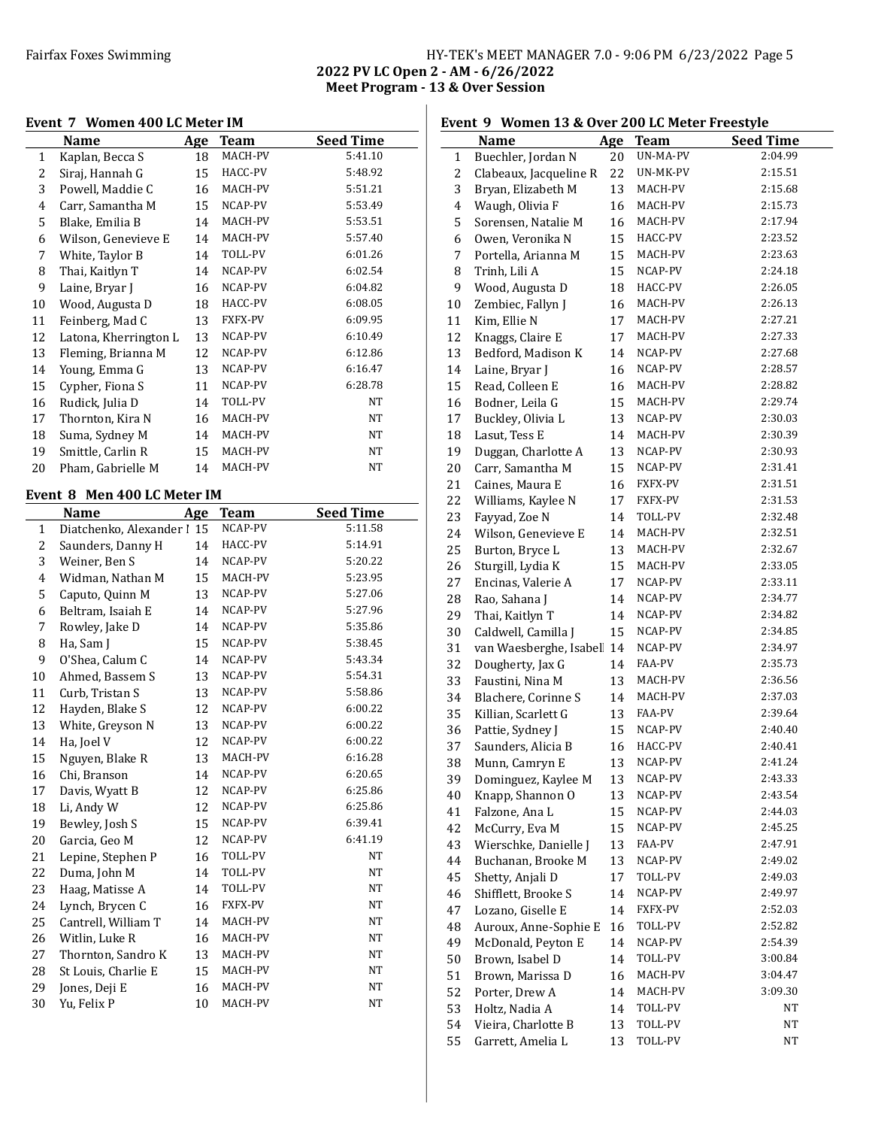### Fairfax Foxes Swimming HY-TEK's MEET MANAGER 7.0 - 9:06 PM 6/23/2022 Page 5 2022 PV LC Open 2 - AM - 6/26/2022 Meet Program - 13 & Over Session

### Event 7 Women 400 LC Meter IM

|    | Name                  | Age | Team    | <b>Seed Time</b> |
|----|-----------------------|-----|---------|------------------|
| 1  | Kaplan, Becca S       | 18  | MACH-PV | 5:41.10          |
| 2  | Siraj, Hannah G       | 15  | HACC-PV | 5:48.92          |
| 3  | Powell, Maddie C      | 16  | MACH-PV | 5:51.21          |
| 4  | Carr, Samantha M      | 15  | NCAP-PV | 5:53.49          |
| 5  | Blake, Emilia B       | 14  | MACH-PV | 5:53.51          |
| 6  | Wilson, Genevieve E   | 14  | MACH-PV | 5:57.40          |
| 7  | White, Taylor B       | 14  | TOLL-PV | 6:01.26          |
| 8  | Thai, Kaitlyn T       | 14  | NCAP-PV | 6:02.54          |
| 9  | Laine, Bryar J        | 16  | NCAP-PV | 6:04.82          |
| 10 | Wood, Augusta D       | 18  | HACC-PV | 6:08.05          |
| 11 | Feinberg, Mad C       | 13  | FXFX-PV | 6:09.95          |
| 12 | Latona, Kherrington L | 13  | NCAP-PV | 6:10.49          |
| 13 | Fleming, Brianna M    | 12  | NCAP-PV | 6:12.86          |
| 14 | Young, Emma G         | 13  | NCAP-PV | 6:16.47          |
| 15 | Cypher, Fiona S       | 11  | NCAP-PV | 6:28.78          |
| 16 | Rudick, Julia D       | 14  | TOLL-PV | NT               |
| 17 | Thornton, Kira N      | 16  | MACH-PV | NT               |
| 18 | Suma, Sydney M        | 14  | MACH-PV | NT               |
| 19 | Smittle, Carlin R     | 15  | MACH-PV | NT               |
| 20 | Pham, Gabrielle M     | 14  | MACH-PV | NT               |

#### Event 8 Men 400 LC Meter IM

|    | Name                       | Age | <b>Team</b>    | <b>Seed Time</b> |
|----|----------------------------|-----|----------------|------------------|
| 1  | Diatchenko, Alexander   15 |     | NCAP-PV        | 5:11.58          |
| 2  | Saunders, Danny H          | 14  | HACC-PV        | 5:14.91          |
| 3  | Weiner, Ben S              | 14  | NCAP-PV        | 5:20.22          |
| 4  | Widman, Nathan M           | 15  | MACH-PV        | 5:23.95          |
| 5  | Caputo, Quinn M            | 13  | NCAP-PV        | 5:27.06          |
| 6  | Beltram, Isaiah E          | 14  | NCAP-PV        | 5:27.96          |
| 7  | Rowley, Jake D             | 14  | NCAP-PV        | 5:35.86          |
| 8  | Ha, Sam J                  | 15  | NCAP-PV        | 5:38.45          |
| 9  | O'Shea, Calum C            | 14  | NCAP-PV        | 5:43.34          |
| 10 | Ahmed, Bassem S            | 13  | NCAP-PV        | 5:54.31          |
| 11 | Curb, Tristan S            | 13  | NCAP-PV        | 5:58.86          |
| 12 | Hayden, Blake S            | 12  | NCAP-PV        | 6:00.22          |
| 13 | White, Greyson N           | 13  | NCAP-PV        | 6:00.22          |
| 14 | Ha, Joel V                 | 12  | NCAP-PV        | 6:00.22          |
| 15 | Nguyen, Blake R            | 13  | MACH-PV        | 6:16.28          |
| 16 | Chi, Branson               | 14  | NCAP-PV        | 6:20.65          |
| 17 | Davis, Wyatt B             | 12  | NCAP-PV        | 6:25.86          |
| 18 | Li, Andy W                 | 12  | NCAP-PV        | 6:25.86          |
| 19 | Bewley, Josh S             | 15  | NCAP-PV        | 6:39.41          |
| 20 | Garcia, Geo M              | 12  | NCAP-PV        | 6:41.19          |
| 21 | Lepine, Stephen P          | 16  | TOLL-PV        | <b>NT</b>        |
| 22 | Duma, John M               | 14  | TOLL-PV        | <b>NT</b>        |
| 23 | Haag, Matisse A            | 14  | TOLL-PV        | <b>NT</b>        |
| 24 | Lynch, Brycen C            | 16  | <b>FXFX-PV</b> | <b>NT</b>        |
| 25 | Cantrell, William T        | 14  | MACH-PV        | <b>NT</b>        |
| 26 | Witlin, Luke R             | 16  | MACH-PV        | <b>NT</b>        |
| 27 | Thornton, Sandro K         | 13  | MACH-PV        | NT               |
| 28 | St Louis, Charlie E        | 15  | MACH-PV        | <b>NT</b>        |
| 29 | Jones, Deji E              | 16  | MACH-PV        | NT               |
| 30 | Yu, Felix P                | 10  | MACH-PV        | NT               |

### Event 9 Women 13 & Over 200 LC Meter Freestyle Name Age Team Seed Time 1 Buechler, Jordan N 20 UN-MA-PV 2:04.99 2 Clabeaux, Jacqueline R 22 UN-MK-PV 2:15.51 Bryan, Elizabeth M 13 MACH-PV 2:15.68 4 Waugh, Olivia F 16 MACH-PV 2:15.73 Sorensen, Natalie M 16 MACH-PV 2:17.94 Owen, Veronika N 15 HACC-PV 2:23.52 Portella, Arianna M 15 MACH-PV 2:23.63 8 Trinh, Lili A 15 NCAP-PV 2:24.18 9 Wood, Augusta D 18 HACC-PV 2:26.05 10 Zembiec, Fallyn J 16 MACH-PV 2:26.13 11 Kim, Ellie N 17 MACH-PV 2:27.21 12 Knaggs, Claire E 17 MACH-PV 2:27.33 13 Bedford, Madison K 14 NCAP-PV 2:27.68 14 Laine, Bryar J 16 NCAP-PV 2:28.57 Read, Colleen E 16 MACH-PV 2:28.82 Bodner, Leila G 15 MACH-PV 2:29.74 17 Buckley, Olivia L 13 NCAP-PV 2:30.03 Lasut, Tess E 14 MACH-PV 2:30.39 Duggan, Charlotte A 13 NCAP-PV 2:30.93 20 Carr, Samantha M 15 NCAP-PV 2:31.41 21 Caines, Maura E 16 FXFX-PV 2:31.51 22 Williams, Kaylee N 17 FXFX-PV 2:31.53 Fayyad, Zoe N 14 TOLL-PV 2:32.48 Wilson, Genevieve E 14 MACH-PV 2:32.51 25 Burton, Bryce L 13 MACH-PV 2:32.67 26 Sturgill, Lydia K 15 MACH-PV 2:33.05 27 Encinas, Valerie A 17 NCAP-PV 2:33.11 28 Rao, Sahana J 14 NCAP-PV 2:34.77 Thai, Kaitlyn T 14 NCAP-PV 2:34.82 30 Caldwell, Camilla J 15 NCAP-PV 2:34.85 31 van Waesberghe, Isabel 14 NCAP-PV 2:34.97 Dougherty, Jax G 14 FAA-PV 2:35.73 Faustini, Nina M 13 MACH-PV 2:36.56 Blachere, Corinne S 14 MACH-PV 2:37.03 Killian, Scarlett G 13 FAA-PV 2:39.64 36 Pattie, Sydney J 15 NCAP-PV 2:40.40 37 Saunders, Alicia B 16 HACC-PV 2:40.41 Munn, Camryn E 13 NCAP-PV 2:41.24 Dominguez, Kaylee M 13 NCAP-PV 2:43.33 Knapp, Shannon O 13 NCAP-PV 2:43.54 Falzone, Ana L 15 NCAP-PV 2:44.03 McCurry, Eva M 15 NCAP-PV 2:45.25 43 Wierschke, Danielle J 13 FAA-PV 2:47.91 Buchanan, Brooke M 13 NCAP-PV 2:49.02 Shetty, Anjali D 17 TOLL-PV 2:49.03 46 Shifflett, Brooke S 14 NCAP-PV 2:49.97 Lozano, Giselle E 14 FXFX-PV 2:52.03 Auroux, Anne-Sophie E 16 TOLL-PV 2:52.82 McDonald, Peyton E 14 NCAP-PV 2:54.39 Brown, Isabel D 14 TOLL-PV 3:00.84 51 Brown, Marissa D 16 MACH-PV 3:04.47 Porter, Drew A 14 MACH-PV 3:09.30 53 Holtz, Nadia A 14 TOLL-PV NT 54 Vieira, Charlotte B 13 TOLL-PV NT 55 Garrett, Amelia L 13 TOLL-PV NT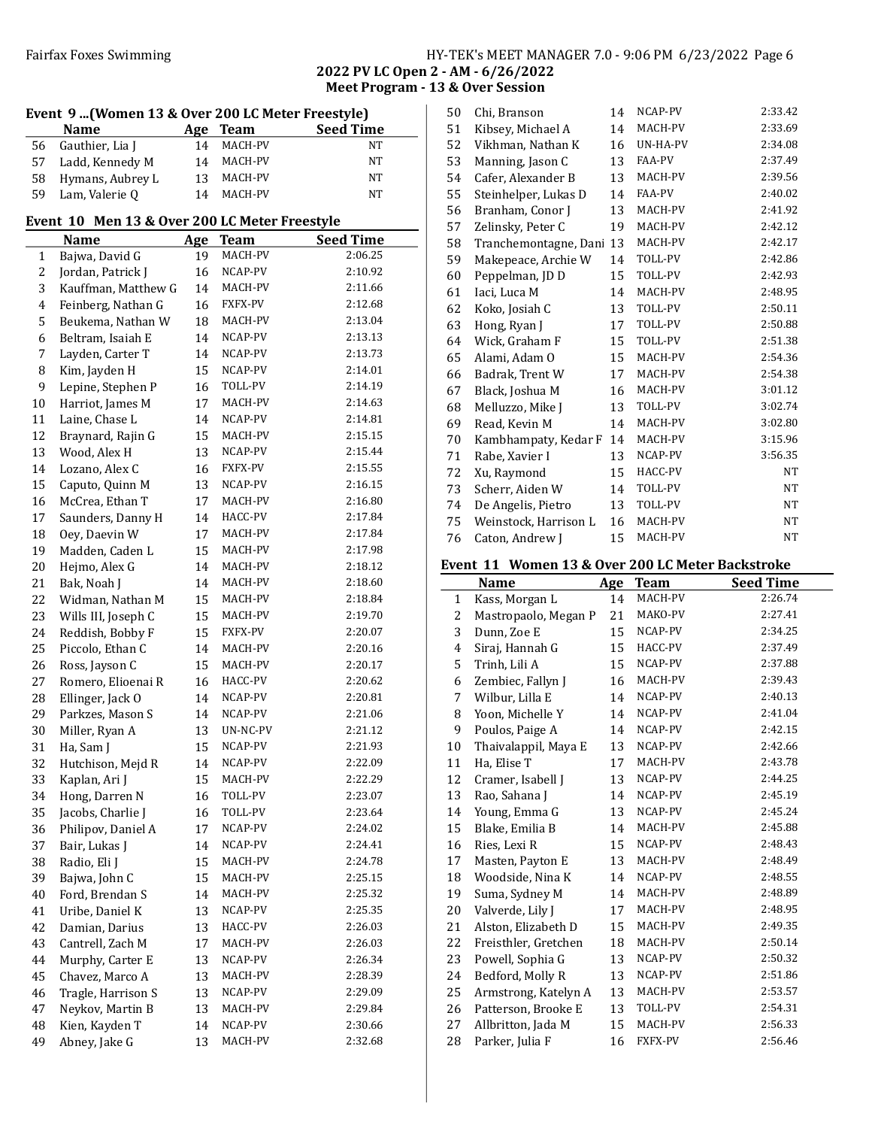### Fairfax Foxes Swimming Table 1986 Swimming HY-TEK's MEET MANAGER 7.0 - 9:06 PM 6/23/2022 Page 6

2022 PV LC Open 2 - AM - 6/26/2022 Meet Program - 13 & Over Session

| Event 9  (Women 13 & Over 200 LC Meter Freestyle) |                    |    |         |    |  |
|---------------------------------------------------|--------------------|----|---------|----|--|
| <b>Seed Time</b><br><b>Name</b><br>Age Team       |                    |    |         |    |  |
|                                                   | 56 Gauthier, Lia J | 14 | MACH-PV | NΤ |  |
| 57                                                | Ladd, Kennedy M    | 14 | MACH-PV | NT |  |
| 58                                                | Hymans, Aubrey L   | 13 | MACH-PV | NT |  |
| 59                                                | Lam, Valerie Q     | 14 | MACH-PV | NT |  |

# Event 10 Men 13 & Over 200 LC Meter Freestyle

|                | <b>Name</b>         | Age | Team     | <b>Seed Time</b> |
|----------------|---------------------|-----|----------|------------------|
| $\mathbf{1}$   | Bajwa, David G      | 19  | MACH-PV  | 2:06.25          |
| $\mathbf{2}$   | Jordan, Patrick J   | 16  | NCAP-PV  | 2:10.92          |
| 3              | Kauffman, Matthew G | 14  | MACH-PV  | 2:11.66          |
| $\overline{4}$ | Feinberg, Nathan G  | 16  | FXFX-PV  | 2:12.68          |
| 5              | Beukema, Nathan W   | 18  | MACH-PV  | 2:13.04          |
| 6              | Beltram, Isaiah E   | 14  | NCAP-PV  | 2:13.13          |
| 7              | Layden, Carter T    | 14  | NCAP-PV  | 2:13.73          |
| 8              | Kim, Jayden H       | 15  | NCAP-PV  | 2:14.01          |
| 9              | Lepine, Stephen P   | 16  | TOLL-PV  | 2:14.19          |
| 10             | Harriot, James M    | 17  | MACH-PV  | 2:14.63          |
| 11             | Laine, Chase L      | 14  | NCAP-PV  | 2:14.81          |
| 12             | Braynard, Rajin G   | 15  | MACH-PV  | 2:15.15          |
| 13             | Wood, Alex H        | 13  | NCAP-PV  | 2:15.44          |
| 14             | Lozano, Alex C      | 16  | FXFX-PV  | 2:15.55          |
| 15             | Caputo, Quinn M     | 13  | NCAP-PV  | 2:16.15          |
| 16             | McCrea, Ethan T     | 17  | MACH-PV  | 2:16.80          |
| 17             | Saunders, Danny H   | 14  | HACC-PV  | 2:17.84          |
| 18             | Oey, Daevin W       | 17  | MACH-PV  | 2:17.84          |
| 19             | Madden, Caden L     | 15  | MACH-PV  | 2:17.98          |
| 20             | Hejmo, Alex G       | 14  | MACH-PV  | 2:18.12          |
| 21             | Bak, Noah J         | 14  | MACH-PV  | 2:18.60          |
| 22             | Widman, Nathan M    | 15  | MACH-PV  | 2:18.84          |
| 23             | Wills III, Joseph C | 15  | MACH-PV  | 2:19.70          |
| 24             | Reddish, Bobby F    | 15  | FXFX-PV  | 2:20.07          |
| 25             | Piccolo, Ethan C    | 14  | MACH-PV  | 2:20.16          |
| 26             | Ross, Jayson C      | 15  | MACH-PV  | 2:20.17          |
| 27             | Romero, Elioenai R  | 16  | HACC-PV  | 2:20.62          |
| 28             | Ellinger, Jack O    | 14  | NCAP-PV  | 2:20.81          |
| 29             | Parkzes, Mason S    | 14  | NCAP-PV  | 2:21.06          |
| 30             | Miller, Ryan A      | 13  | UN-NC-PV | 2:21.12          |
| 31             | Ha, Sam J           | 15  | NCAP-PV  | 2:21.93          |
| 32             | Hutchison, Mejd R   | 14  | NCAP-PV  | 2:22.09          |
| 33             | Kaplan, Ari J       | 15  | MACH-PV  | 2:22.29          |
| 34             | Hong, Darren N      | 16  | TOLL-PV  | 2:23.07          |
| 35             | Jacobs, Charlie J   | 16  | TOLL-PV  | 2:23.64          |
| 36             | Philipov, Daniel A  | 17  | NCAP-PV  | 2:24.02          |
| 37             | Bair, Lukas J       | 14  | NCAP-PV  | 2:24.41          |
| 38             | Radio, Eli J        | 15  | MACH-PV  | 2:24.78          |
| 39             | Bajwa, John C       | 15  | MACH-PV  | 2:25.15          |
| 40             | Ford, Brendan S     | 14  | MACH-PV  | 2:25.32          |
| 41             | Uribe, Daniel K     | 13  | NCAP-PV  | 2:25.35          |
| 42             | Damian, Darius      | 13  | HACC-PV  | 2:26.03          |
| 43             | Cantrell, Zach M    | 17  | MACH-PV  | 2:26.03          |
| 44             | Murphy, Carter E    | 13  | NCAP-PV  | 2:26.34          |
| 45             | Chavez, Marco A     | 13  | MACH-PV  | 2:28.39          |
| 46             | Tragle, Harrison S  | 13  | NCAP-PV  | 2:29.09          |
| 47             | Neykov, Martin B    | 13  | MACH-PV  | 2:29.84          |
| 48             | Kien, Kayden T      | 14  | NCAP-PV  | 2:30.66          |
| 49             | Abney, Jake G       | 13  | MACH-PV  | 2:32.68          |

| 50 | Chi, Branson          | 14 | NCAP-PV        | 2:33.42 |
|----|-----------------------|----|----------------|---------|
| 51 | Kibsey, Michael A     | 14 | MACH-PV        | 2:33.69 |
| 52 | Vikhman, Nathan K     | 16 | UN-HA-PV       | 2:34.08 |
| 53 | Manning, Jason C      | 13 | FAA-PV         | 2:37.49 |
| 54 | Cafer, Alexander B    | 13 | MACH-PV        | 2:39.56 |
| 55 | Steinhelper, Lukas D  | 14 | FAA-PV         | 2:40.02 |
| 56 | Branham, Conor J      | 13 | MACH-PV        | 2:41.92 |
| 57 | Zelinsky, Peter C     | 19 | MACH-PV        | 2:42.12 |
| 58 | Tranchemontagne, Dani | 13 | MACH-PV        | 2:42.17 |
| 59 | Makepeace, Archie W   | 14 | TOLL-PV        | 2:42.86 |
| 60 | Peppelman, JD D       | 15 | TOLL-PV        | 2:42.93 |
| 61 | Iaci, Luca M          | 14 | MACH-PV        | 2:48.95 |
| 62 | Koko, Josiah C        | 13 | <b>TOLL-PV</b> | 2:50.11 |
| 63 | Hong, Ryan J          | 17 | TOLL-PV        | 2:50.88 |
| 64 | Wick, Graham F        | 15 | TOLL-PV        | 2:51.38 |
| 65 | Alami, Adam O         | 15 | MACH-PV        | 2:54.36 |
| 66 | Badrak, Trent W       | 17 | MACH-PV        | 2:54.38 |
| 67 | Black, Joshua M       | 16 | MACH-PV        | 3:01.12 |
| 68 | Melluzzo, Mike J      | 13 | TOLL-PV        | 3:02.74 |
| 69 | Read, Kevin M         | 14 | MACH-PV        | 3:02.80 |
| 70 | Kambhampaty, Kedar F  | 14 | MACH-PV        | 3:15.96 |
| 71 | Rabe, Xavier I        | 13 | NCAP-PV        | 3:56.35 |
| 72 | Xu, Raymond           | 15 | HACC-PV        | NT      |
| 73 | Scherr, Aiden W       | 14 | TOLL-PV        | NT      |
| 74 | De Angelis, Pietro    | 13 | TOLL-PV        | NT      |
| 75 | Weinstock, Harrison L | 16 | MACH-PV        | NT      |
| 76 | Caton, Andrew J       | 15 | MACH-PV        | NT      |

# Event 11 Women 13 & Over 200 LC Meter Backstroke

|    | Name                 | Age | <b>Team</b>    | <b>Seed Time</b> |
|----|----------------------|-----|----------------|------------------|
| 1  | Kass, Morgan L       | 14  | MACH-PV        | 2:26.74          |
| 2  | Mastropaolo, Megan P | 21  | MAKO-PV        | 2:27.41          |
| 3  | Dunn, Zoe E          | 15  | NCAP-PV        | 2:34.25          |
| 4  | Siraj, Hannah G      | 15  | HACC-PV        | 2:37.49          |
| 5  | Trinh, Lili A        | 15  | NCAP-PV        | 2:37.88          |
| 6  | Zembiec, Fallyn J    | 16  | MACH-PV        | 2:39.43          |
| 7  | Wilbur, Lilla E      | 14  | NCAP-PV        | 2:40.13          |
| 8  | Yoon, Michelle Y     | 14  | NCAP-PV        | 2:41.04          |
| 9  | Poulos, Paige A      | 14  | NCAP-PV        | 2:42.15          |
| 10 | Thaivalappil, Maya E | 13  | NCAP-PV        | 2:42.66          |
| 11 | Ha, Elise T          | 17  | MACH-PV        | 2:43.78          |
| 12 | Cramer, Isabell J    | 13  | NCAP-PV        | 2:44.25          |
| 13 | Rao, Sahana J        | 14  | NCAP-PV        | 2:45.19          |
| 14 | Young, Emma G        | 13  | NCAP-PV        | 2:45.24          |
| 15 | Blake, Emilia B      | 14  | MACH-PV        | 2:45.88          |
| 16 | Ries, Lexi R         | 15  | NCAP-PV        | 2:48.43          |
| 17 | Masten, Payton E     | 13  | MACH-PV        | 2:48.49          |
| 18 | Woodside, Nina K     | 14  | NCAP-PV        | 2:48.55          |
| 19 | Suma, Sydney M       | 14  | MACH-PV        | 2:48.89          |
| 20 | Valverde, Lily J     | 17  | MACH-PV        | 2:48.95          |
| 21 | Alston, Elizabeth D  | 15  | MACH-PV        | 2:49.35          |
| 22 | Freisthler, Gretchen | 18  | MACH-PV        | 2:50.14          |
| 23 | Powell, Sophia G     | 13  | NCAP-PV        | 2:50.32          |
| 24 | Bedford, Molly R     | 13  | NCAP-PV        | 2:51.86          |
| 25 | Armstrong, Katelyn A | 13  | MACH-PV        | 2:53.57          |
| 26 | Patterson, Brooke E  | 13  | TOLL-PV        | 2:54.31          |
| 27 | Allbritton, Jada M   | 15  | MACH-PV        | 2:56.33          |
| 28 | Parker, Julia F      | 16  | <b>FXFX-PV</b> | 2:56.46          |